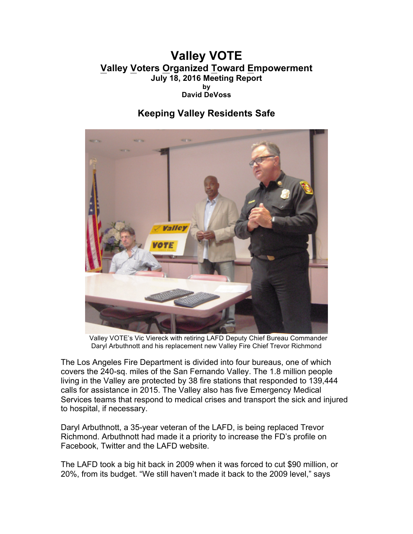### **Valley VOTE Valley Voters Organized Toward Empowerment July 18, 2016 Meeting Report by David DeVoss**

## **Keeping Valley Residents Safe**



 Valley VOTE's Vic Viereck with retiring LAFD Deputy Chief Bureau Commander Daryl Arbuthnott and his replacement new Valley Fire Chief Trevor Richmond

The Los Angeles Fire Department is divided into four bureaus, one of which covers the 240-sq. miles of the San Fernando Valley. The 1.8 million people living in the Valley are protected by 38 fire stations that responded to 139,444 calls for assistance in 2015. The Valley also has five Emergency Medical Services teams that respond to medical crises and transport the sick and injured to hospital, if necessary.

Daryl Arbuthnott, a 35-year veteran of the LAFD, is being replaced Trevor Richmond. Arbuthnott had made it a priority to increase the FD's profile on Facebook, Twitter and the LAFD website.

The LAFD took a big hit back in 2009 when it was forced to cut \$90 million, or 20%, from its budget. "We still haven't made it back to the 2009 level," says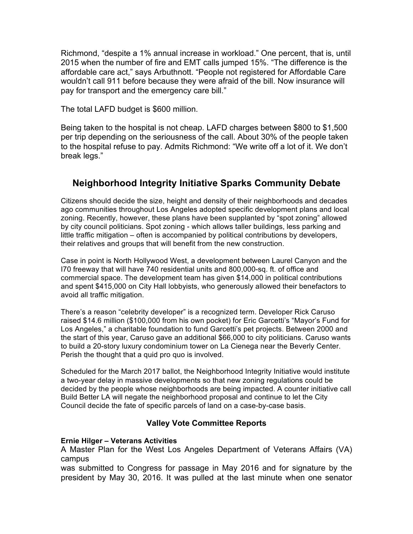Richmond, "despite a 1% annual increase in workload." One percent, that is, until 2015 when the number of fire and EMT calls jumped 15%. "The difference is the affordable care act," says Arbuthnott. "People not registered for Affordable Care wouldn't call 911 before because they were afraid of the bill. Now insurance will pay for transport and the emergency care bill."

The total LAFD budget is \$600 million.

Being taken to the hospital is not cheap. LAFD charges between \$800 to \$1,500 per trip depending on the seriousness of the call. About 30% of the people taken to the hospital refuse to pay. Admits Richmond: "We write off a lot of it. We don't break legs."

# **Neighborhood Integrity Initiative Sparks Community Debate**

Citizens should decide the size, height and density of their neighborhoods and decades ago communities throughout Los Angeles adopted specific development plans and local zoning. Recently, however, these plans have been supplanted by "spot zoning" allowed by city council politicians. Spot zoning - which allows taller buildings, less parking and little traffic mitigation – often is accompanied by political contributions by developers, their relatives and groups that will benefit from the new construction.

Case in point is North Hollywood West, a development between Laurel Canyon and the I70 freeway that will have 740 residential units and 800,000-sq. ft. of office and commercial space. The development team has given \$14,000 in political contributions and spent \$415,000 on City Hall lobbyists, who generously allowed their benefactors to avoid all traffic mitigation.

There's a reason "celebrity developer" is a recognized term. Developer Rick Caruso raised \$14.6 million (\$100,000 from his own pocket) for Eric Garcetti's "Mayor's Fund for Los Angeles," a charitable foundation to fund Garcetti's pet projects. Between 2000 and the start of this year, Caruso gave an additional \$66,000 to city politicians. Caruso wants to build a 20-story luxury condominium tower on La Cienega near the Beverly Center. Perish the thought that a quid pro quo is involved.

Scheduled for the March 2017 ballot, the Neighborhood Integrity Initiative would institute a two-year delay in massive developments so that new zoning regulations could be decided by the people whose neighborhoods are being impacted. A counter initiative call Build Better LA will negate the neighborhood proposal and continue to let the City Council decide the fate of specific parcels of land on a case-by-case basis.

#### **Valley Vote Committee Reports**

#### **Ernie Hilger – Veterans Activities**

A Master Plan for the West Los Angeles Department of Veterans Affairs (VA) campus

was submitted to Congress for passage in May 2016 and for signature by the president by May 30, 2016. It was pulled at the last minute when one senator